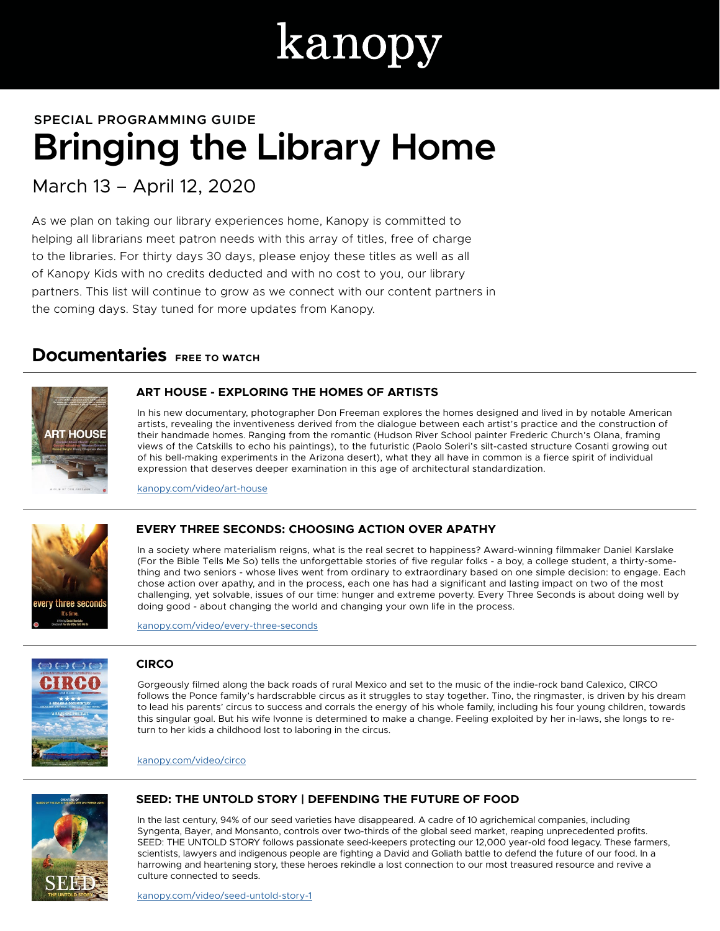# kanopy

# **Bringing the Library Home SPECIAL PROGRAMMING GUIDE**

March 13 – April 12, 2020

As we plan on taking our library experiences home, Kanopy is committed to helping all librarians meet patron needs with this array of titles, free of charge to the libraries. For thirty days 30 days, please enjoy these titles as well as all of Kanopy Kids with no credits deducted and with no cost to you, our library partners. This list will continue to grow as we connect with our content partners in the coming days. Stay tuned for more updates from Kanopy.

# **Documentaries** FREE TO WATCH



#### **ART HOUSE - EXPLORING THE HOMES OF ARTISTS**

In his new documentary, photographer Don Freeman explores the homes designed and lived in by notable American artists, revealing the inventiveness derived from the dialogue between each artist's practice and the construction of their handmade homes. Ranging from the romantic (Hudson River School painter Frederic Church's Olana, framing views of the Catskills to echo his paintings), to the futuristic (Paolo Soleri's silt-casted structure Cosanti growing out of his bell-making experiments in the Arizona desert), what they all have in common is a fierce spirit of individual expression that deserves deeper examination in this age of architectural standardization.

kanopy.com/video/art-house



#### **EVERY THREE SECONDS: CHOOSING ACTION OVER APATHY**

In a society where materialism reigns, what is the real secret to happiness? Award-winning filmmaker Daniel Karslake (For the Bible Tells Me So) tells the unforgettable stories of five regular folks - a boy, a college student, a thirty-something and two seniors - whose lives went from ordinary to extraordinary based on one simple decision: to engage. Each chose action over apathy, and in the process, each one has had a significant and lasting impact on two of the most challenging, yet solvable, issues of our time: hunger and extreme poverty. Every Three Seconds is about doing well by doing good - about changing the world and changing your own life in the process.

kanopy.com/video/every-three-seconds



#### **CIRCO**

Gorgeously filmed along the back roads of rural Mexico and set to the music of the indie-rock band Calexico, CIRCO follows the Ponce family's hardscrabble circus as it struggles to stay together. Tino, the ringmaster, is driven by his dream to lead his parents' circus to success and corrals the energy of his whole family, including his four young children, towards this singular goal. But his wife Ivonne is determined to make a change. Feeling exploited by her in-laws, she longs to return to her kids a childhood lost to laboring in the circus.

kanopy.com/video/circo



#### **SEED: THE UNTOLD STORY | DEFENDING THE FUTURE OF FOOD**

In the last century, 94% of our seed varieties have disappeared. A cadre of 10 agrichemical companies, including Syngenta, Bayer, and Monsanto, controls over two-thirds of the global seed market, reaping unprecedented profits. SEED: THE UNTOLD STORY follows passionate seed-keepers protecting our 12,000 year-old food legacy. These farmers, scientists, lawyers and indigenous people are fighting a David and Goliath battle to defend the future of our food. In a harrowing and heartening story, these heroes rekindle a lost connection to our most treasured resource and revive a culture connected to seeds.

kanopy.com/video/seed-untold-story-1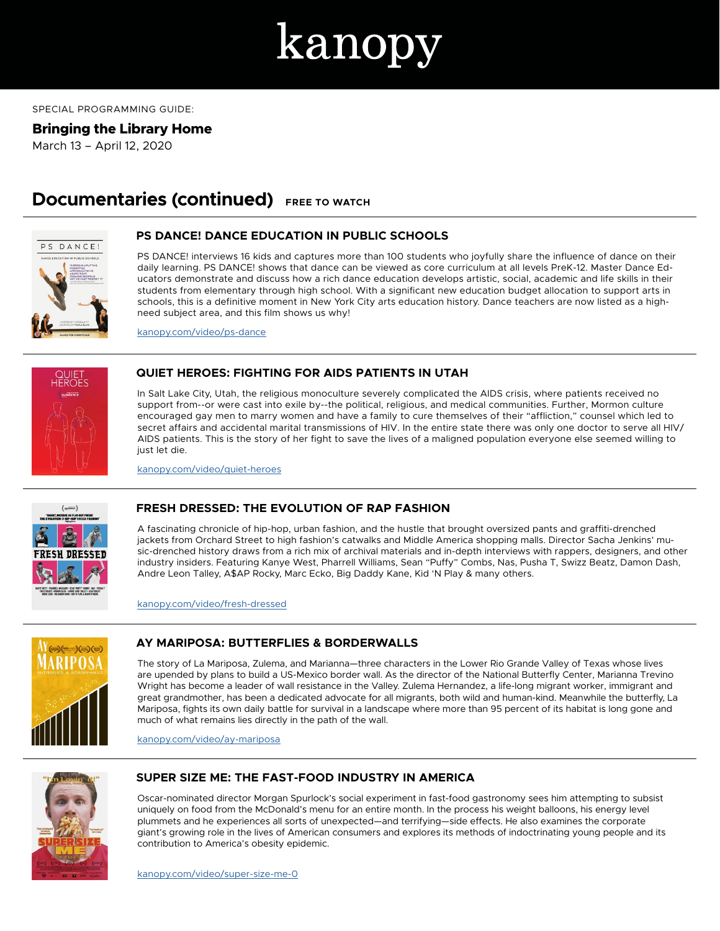

#### SPECIAL PROGRAMMING GUIDE:

#### **Bringing the Library Home**

March 13 – April 12, 2020

### **Documentaries (continued) FREE TO WATCH**



#### **PS DANCE! DANCE EDUCATION IN PUBLIC SCHOOLS**

PS DANCE! interviews 16 kids and captures more than 100 students who joyfully share the influence of dance on their daily learning. PS DANCE! shows that dance can be viewed as core curriculum at all levels PreK-12. Master Dance Educators demonstrate and discuss how a rich dance education develops artistic, social, academic and life skills in their students from elementary through high school. With a significant new education budget allocation to support arts in schools, this is a definitive moment in New York City arts education history. Dance teachers are now listed as a highneed subject area, and this film shows us why!

kanopy.com/video/ps-dance



#### **QUIET HEROES: FIGHTING FOR AIDS PATIENTS IN UTAH**

In Salt Lake City, Utah, the religious monoculture severely complicated the AIDS crisis, where patients received no support from--or were cast into exile by--the political, religious, and medical communities. Further, Mormon culture encouraged gay men to marry women and have a family to cure themselves of their "affliction," counsel which led to secret affairs and accidental marital transmissions of HIV. In the entire state there was only one doctor to serve all HIV/ AIDS patients. This is the story of her fight to save the lives of a maligned population everyone else seemed willing to just let die.

kanopy.com/video/quiet-heroes



#### **FRESH DRESSED: THE EVOLUTION OF RAP FASHION**

A fascinating chronicle of hip-hop, urban fashion, and the hustle that brought oversized pants and graffiti-drenched jackets from Orchard Street to high fashion's catwalks and Middle America shopping malls. Director Sacha Jenkins' music-drenched history draws from a rich mix of archival materials and in-depth interviews with rappers, designers, and other industry insiders. Featuring Kanye West, Pharrell Williams, Sean "Puffy" Combs, Nas, Pusha T, Swizz Beatz, Damon Dash, Andre Leon Talley, A\$AP Rocky, Marc Ecko, Big Daddy Kane, Kid 'N Play & many others.

kanopy.com/video/fresh-dressed



#### **AY MARIPOSA: BUTTERFLIES & BORDERWALLS**

The story of La Mariposa, Zulema, and Marianna—three characters in the Lower Rio Grande Valley of Texas whose lives are upended by plans to build a US-Mexico border wall. As the director of the National Butterfly Center, Marianna Trevino Wright has become a leader of wall resistance in the Valley. Zulema Hernandez, a life-long migrant worker, immigrant and great grandmother, has been a dedicated advocate for all migrants, both wild and human-kind. Meanwhile the butterfly, La Mariposa, fights its own daily battle for survival in a landscape where more than 95 percent of its habitat is long gone and much of what remains lies directly in the path of the wall.

kanopy.com/video/ay-mariposa



#### **SUPER SIZE ME: THE FAST-FOOD INDUSTRY IN AMERICA**

Oscar-nominated director Morgan Spurlock's social experiment in fast-food gastronomy sees him attempting to subsist uniquely on food from the McDonald's menu for an entire month. In the process his weight balloons, his energy level plummets and he experiences all sorts of unexpected—and terrifying—side effects. He also examines the corporate giant's growing role in the lives of American consumers and explores its methods of indoctrinating young people and its contribution to America's obesity epidemic.

kanopy.com/video/super-size-me-0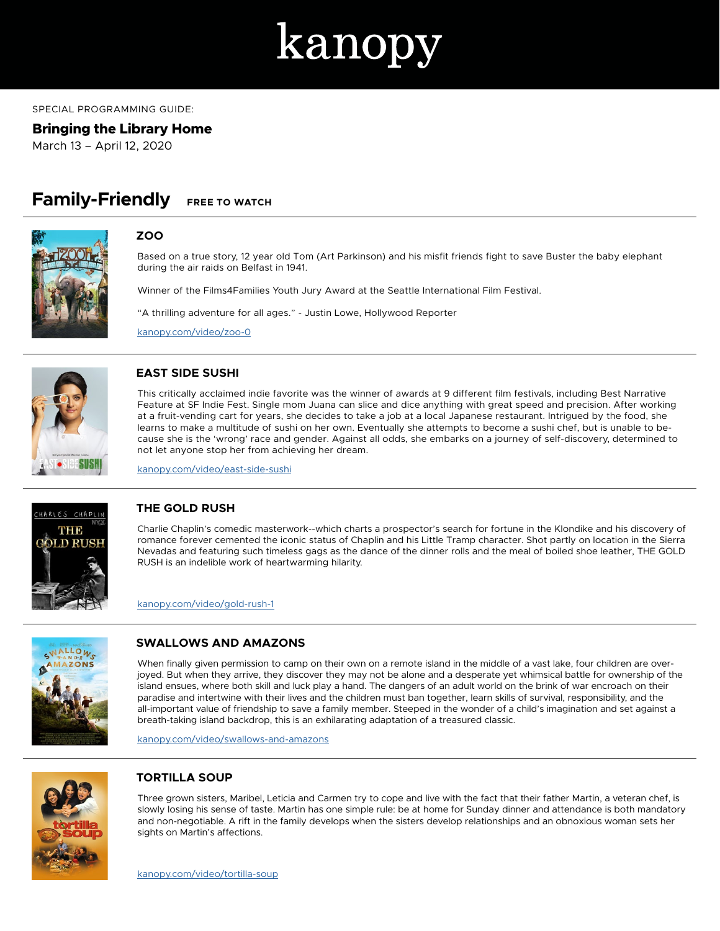

#### SPECIAL PROGRAMMING GUIDE:

#### **Bringing the Library Home**

March 13 – April 12, 2020

# **Family-Friendly FREE TO WATCH**



#### **ZOO**

Based on a true story, 12 year old Tom (Art Parkinson) and his misfit friends fight to save Buster the baby elephant during the air raids on Belfast in 1941.

Winner of the Films4Families Youth Jury Award at the Seattle International Film Festival.

"A thrilling adventure for all ages." - Justin Lowe, Hollywood Reporter

kanopy.com/video/zoo-0



#### **EAST SIDE SUSHI**

This critically acclaimed indie favorite was the winner of awards at 9 different film festivals, including Best Narrative Feature at SF Indie Fest. Single mom Juana can slice and dice anything with great speed and precision. After working at a fruit-vending cart for years, she decides to take a job at a local Japanese restaurant. Intrigued by the food, she learns to make a multitude of sushi on her own. Eventually she attempts to become a sushi chef, but is unable to because she is the 'wrong' race and gender. Against all odds, she embarks on a journey of self-discovery, determined to not let anyone stop her from achieving her dream.

kanopy.com/video/east-side-sushi



#### **THE GOLD RUSH**

Charlie Chaplin's comedic masterwork--which charts a prospector's search for fortune in the Klondike and his discovery of romance forever cemented the iconic status of Chaplin and his Little Tramp character. Shot partly on location in the Sierra Nevadas and featuring such timeless gags as the dance of the dinner rolls and the meal of boiled shoe leather, THE GOLD RUSH is an indelible work of heartwarming hilarity.

kanopy.com/video/gold-rush-1



#### **SWALLOWS AND AMAZONS**

When finally given permission to camp on their own on a remote island in the middle of a vast lake, four children are overjoyed. But when they arrive, they discover they may not be alone and a desperate yet whimsical battle for ownership of the island ensues, where both skill and luck play a hand. The dangers of an adult world on the brink of war encroach on their paradise and intertwine with their lives and the children must ban together, learn skills of survival, responsibility, and the all-important value of friendship to save a family member. Steeped in the wonder of a child's imagination and set against a breath-taking island backdrop, this is an exhilarating adaptation of a treasured classic.

kanopy.com/video/swallows-and-amazons



#### **TORTILLA SOUP**

Three grown sisters, Maribel, Leticia and Carmen try to cope and live with the fact that their father Martin, a veteran chef, is slowly losing his sense of taste. Martin has one simple rule: be at home for Sunday dinner and attendance is both mandatory and non-negotiable. A rift in the family develops when the sisters develop relationships and an obnoxious woman sets her sights on Martin's affections.

kanopy.com/video/tortilla-soup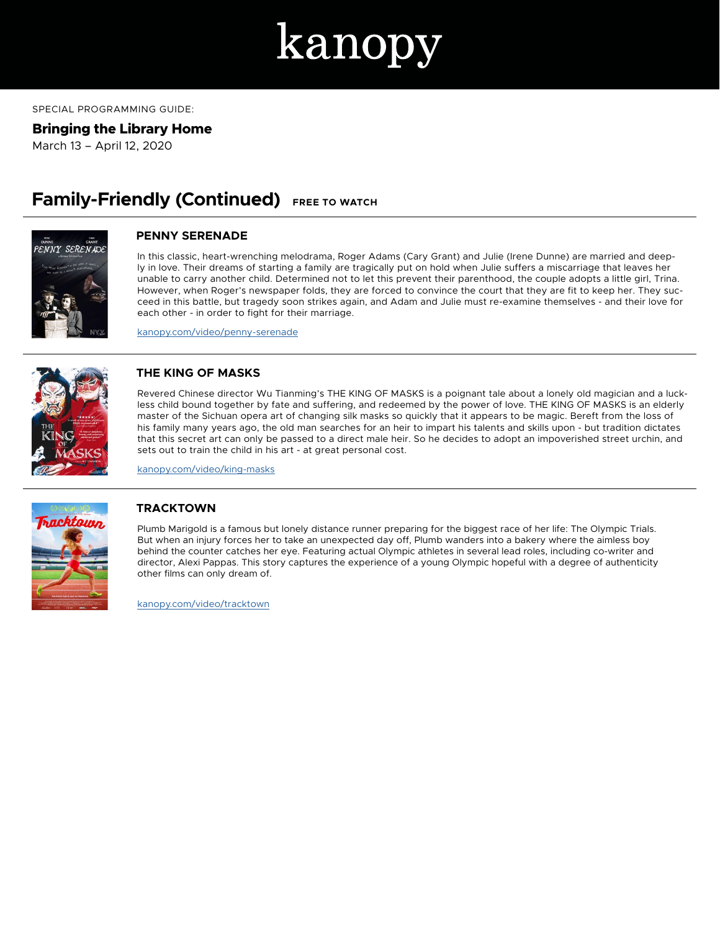# kanop

SPECIAL PROGRAMMING GUIDE:

**Bringing the Library Home**

March 13 – April 12, 2020

# **Family-Friendly (Continued)** FREE TO WATCH



#### **PENNY SERENADE**

In this classic, heart-wrenching melodrama, Roger Adams (Cary Grant) and Julie (Irene Dunne) are married and deeply in love. Their dreams of starting a family are tragically put on hold when Julie suffers a miscarriage that leaves her unable to carry another child. Determined not to let this prevent their parenthood, the couple adopts a little girl, Trina. However, when Roger's newspaper folds, they are forced to convince the court that they are fit to keep her. They succeed in this battle, but tragedy soon strikes again, and Adam and Julie must re-examine themselves - and their love for each other - in order to fight for their marriage.

kanopy.com/video/penny-serenade



#### **THE KING OF MASKS**

Revered Chinese director Wu Tianming's THE KING OF MASKS is a poignant tale about a lonely old magician and a luckless child bound together by fate and suffering, and redeemed by the power of love. THE KING OF MASKS is an elderly master of the Sichuan opera art of changing silk masks so quickly that it appears to be magic. Bereft from the loss of his family many years ago, the old man searches for an heir to impart his talents and skills upon - but tradition dictates that this secret art can only be passed to a direct male heir. So he decides to adopt an impoverished street urchin, and sets out to train the child in his art - at great personal cost.

kanopy.com/video/king-masks



#### **TRACKTOWN**

Plumb Marigold is a famous but lonely distance runner preparing for the biggest race of her life: The Olympic Trials. But when an injury forces her to take an unexpected day off, Plumb wanders into a bakery where the aimless boy behind the counter catches her eye. Featuring actual Olympic athletes in several lead roles, including co-writer and director, Alexi Pappas. This story captures the experience of a young Olympic hopeful with a degree of authenticity other films can only dream of.

kanopy.com/video/tracktown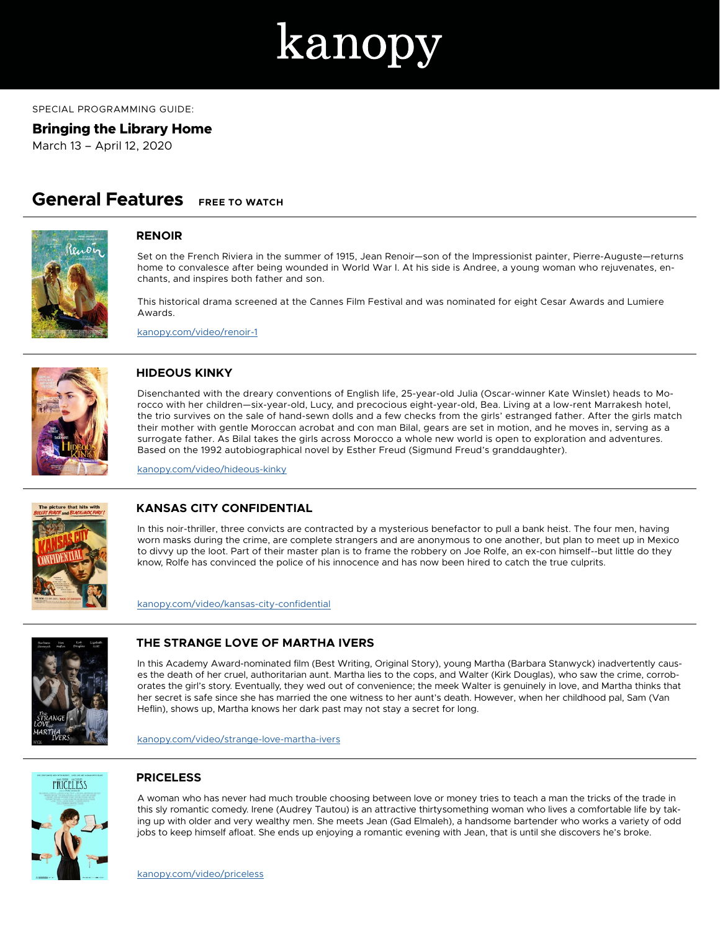

SPECIAL PROGRAMMING GUIDE:

**Bringing the Library Home**

March 13 – April 12, 2020

### **General Features FREE TO WATCH**



#### **RENOIR**

Set on the French Riviera in the summer of 1915, Jean Renoir—son of the Impressionist painter, Pierre-Auguste—returns home to convalesce after being wounded in World War I. At his side is Andree, a young woman who rejuvenates, enchants, and inspires both father and son.

This historical drama screened at the Cannes Film Festival and was nominated for eight Cesar Awards and Lumiere Awards.

kanopy.com/video/renoir-1



#### **HIDEOUS KINKY**

Disenchanted with the dreary conventions of English life, 25-year-old Julia (Oscar-winner Kate Winslet) heads to Morocco with her children—six-year-old, Lucy, and precocious eight-year-old, Bea. Living at a low-rent Marrakesh hotel, the trio survives on the sale of hand-sewn dolls and a few checks from the girls' estranged father. After the girls match their mother with gentle Moroccan acrobat and con man Bilal, gears are set in motion, and he moves in, serving as a surrogate father. As Bilal takes the girls across Morocco a whole new world is open to exploration and adventures. Based on the 1992 autobiographical novel by Esther Freud (Sigmund Freud's granddaughter).

kanopy.com/video/hideous-kinky



#### **KANSAS CITY CONFIDENTIAL**

In this noir-thriller, three convicts are contracted by a mysterious benefactor to pull a bank heist. The four men, having worn masks during the crime, are complete strangers and are anonymous to one another, but plan to meet up in Mexico to divvy up the loot. Part of their master plan is to frame the robbery on Joe Rolfe, an ex-con himself--but little do they know, Rolfe has convinced the police of his innocence and has now been hired to catch the true culprits.

kanopy.com/video/kansas-city-confidential



#### **THE STRANGE LOVE OF MARTHA IVERS**

In this Academy Award-nominated film (Best Writing, Original Story), young Martha (Barbara Stanwyck) inadvertently causes the death of her cruel, authoritarian aunt. Martha lies to the cops, and Walter (Kirk Douglas), who saw the crime, corroborates the girl's story. Eventually, they wed out of convenience; the meek Walter is genuinely in love, and Martha thinks that her secret is safe since she has married the one witness to her aunt's death. However, when her childhood pal, Sam (Van Heflin), shows up, Martha knows her dark past may not stay a secret for long.

kanopy.com/video/strange-love-martha-ivers



#### **PRICELESS**

A woman who has never had much trouble choosing between love or money tries to teach a man the tricks of the trade in this sly romantic comedy. Irene (Audrey Tautou) is an attractive thirtysomething woman who lives a comfortable life by taking up with older and very wealthy men. She meets Jean (Gad Elmaleh), a handsome bartender who works a variety of odd jobs to keep himself afloat. She ends up enjoying a romantic evening with Jean, that is until she discovers he's broke.